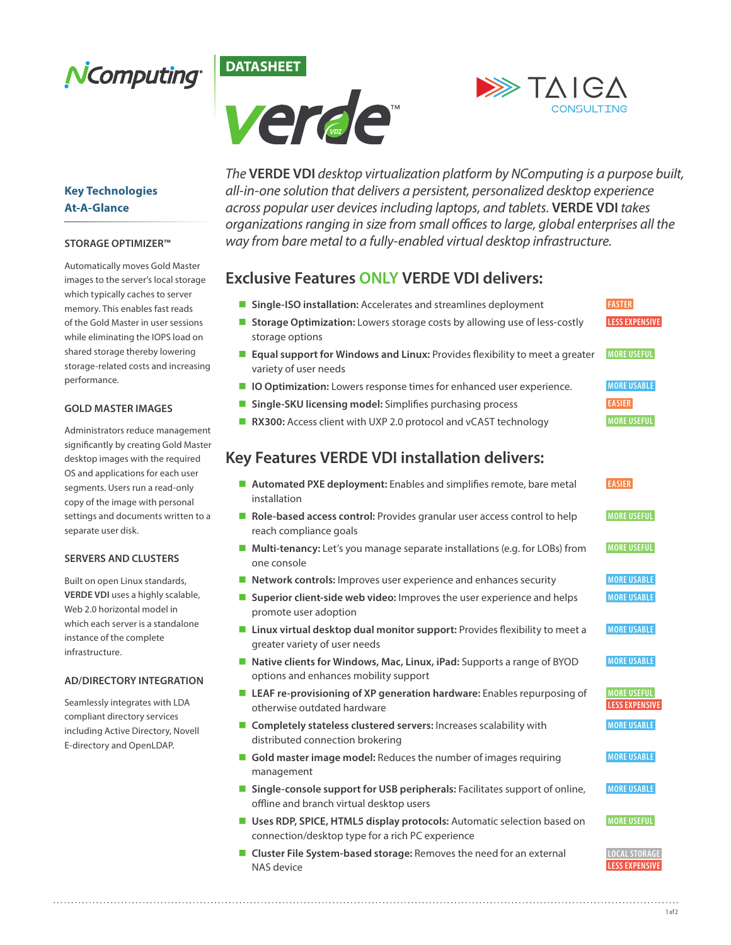





### **Key Technologies At-A-Glance**

#### **STORAGE OPTIMIZER™**

Automatically moves Gold Master images to the server's local storage which typically caches to server memory. This enables fast reads of the Gold Master in user sessions while eliminating the IOPS load on shared storage thereby lowering storage-related costs and increasing performance.

#### **GOLD MASTER IMAGES**

Administrators reduce management significantly by creating Gold Master desktop images with the required OS and applications for each user segments. Users run a read-only copy of the image with personal settings and documents written to a separate user disk.

#### **SERVERS AND CLUSTERS**

Built on open Linux standards, **VERDE VDI** uses a highly scalable, Web 2.0 horizontal model in which each server is a standalone instance of the complete infrastructure.

#### **AD/DIRECTORY INTEGRATION**

Seamlessly integrates with LDA compliant directory services including Active Directory, Novell E-directory and OpenLDAP.

NAS device

*The* **VERDE VDI** *desktop virtualization platform by NComputing is a purpose built, all-in-one solution that delivers a persistent, personalized desktop experience across popular user devices including laptops, and tablets.* **VERDE VDI** *takes organizations ranging in size from small offices to large, global enterprises all the way from bare metal to a fully-enabled virtual desktop infrastructure.*

### **Exclusive Features ONLY VERDE VDI delivers:**

| Single-ISO installation: Accelerates and streamlines deployment<br>a an                                                        | <b>FASTER</b>                               |
|--------------------------------------------------------------------------------------------------------------------------------|---------------------------------------------|
| Storage Optimization: Lowers storage costs by allowing use of less-costly<br>storage options                                   | <b>LESS EXPENSIVE</b>                       |
| ■ Equal support for Windows and Linux: Provides flexibility to meet a greater<br>variety of user needs                         | <b>MORE USEFUL</b>                          |
| ■ <b>IO Optimization:</b> Lowers response times for enhanced user experience.                                                  | <b>MORE USABLE</b>                          |
| Single-SKU licensing model: Simplifies purchasing process                                                                      | <b>EASIER</b>                               |
| RX300: Access client with UXP 2.0 protocol and vCAST technology<br>ш                                                           | <b>MORE USEFUL</b>                          |
| <b>Key Features VERDE VDI installation delivers:</b>                                                                           |                                             |
| Automated PXE deployment: Enables and simplifies remote, bare metal<br>installation                                            | <b>EASIER</b>                               |
| Role-based access control: Provides granular user access control to help<br>reach compliance goals                             | <b>MORE USEFUL</b>                          |
| ■ Multi-tenancy: Let's you manage separate installations (e.g. for LOBs) from<br>one console                                   | <b>MORE USEFUL</b>                          |
| Network controls: Improves user experience and enhances security                                                               | <b>MORE USABLE</b>                          |
| Superior client-side web video: Improves the user experience and helps<br>$\mathcal{L}_{\mathcal{A}}$<br>promote user adoption | <b>MORE USABLE</b>                          |
| ■ Linux virtual desktop dual monitor support: Provides flexibility to meet a<br>greater variety of user needs                  | <b>MORE USABLE</b>                          |
| ■ Native clients for Windows, Mac, Linux, iPad: Supports a range of BYOD<br>options and enhances mobility support              | <b>MORE USABLE</b>                          |
| <b>E</b> LEAF re-provisioning of XP generation hardware: Enables repurposing of<br>otherwise outdated hardware                 | <b>MORE USEFUL</b><br><b>LESS EXPENSIVE</b> |
| ■ Completely stateless clustered servers: Increases scalability with<br>distributed connection brokering                       | <b>MORE USABLE</b>                          |
| Gold master image model: Reduces the number of images requiring<br>management                                                  | <b>MORE USABLE</b>                          |
| Single-console support for USB peripherals: Facilitates support of online,<br>offline and branch virtual desktop users         | <b>MORE USABLE</b>                          |
| Uses RDP, SPICE, HTML5 display protocols: Automatic selection based on<br>connection/desktop type for a rich PC experience     | <b>MORE USEFUL</b>                          |
| ■ Cluster File System-based storage: Removes the need for an external                                                          | <b>LOCAL STORAGE</b>                        |

 **LESS EXPENSIVE**